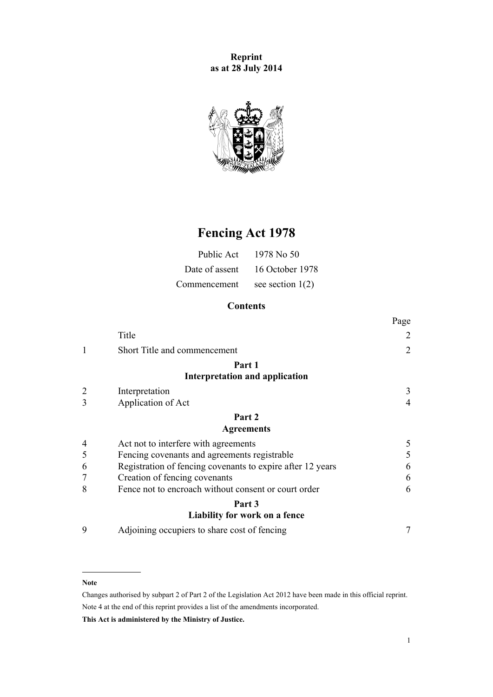**Reprint as at 28 July 2014**



# **Fencing Act 1978**

| Public Act   | 1978 No 50                     |
|--------------|--------------------------------|
|              | Date of assent 16 October 1978 |
| Commencement | see section $1(2)$             |

## **Contents**

|   |                                                            | Page           |
|---|------------------------------------------------------------|----------------|
|   | Title                                                      | 2              |
|   | Short Title and commencement                               | $\overline{2}$ |
|   | Part 1                                                     |                |
|   | Interpretation and application                             |                |
|   | Interpretation                                             | 3              |
| 3 | Application of Act                                         | 4              |
|   | Part 2                                                     |                |
|   | <b>Agreements</b>                                          |                |
| 4 | Act not to interfere with agreements                       | 5              |
| 5 | Fencing covenants and agreements registrable               | 5              |
| 6 | Registration of fencing covenants to expire after 12 years | 6              |
| 7 | Creation of fencing covenants                              | 6              |
| 8 | Fence not to encroach without consent or court order       | 6              |
|   | Part 3                                                     |                |
|   | Liability for work on a fence                              |                |
| 9 | Adjoining occupiers to share cost of fencing               | 7              |

#### **Note**

Changes authorised by [subpart 2](http://prd-lgnz-nlb.prd.pco.net.nz/pdflink.aspx?id=DLM2998524) of Part 2 of the Legislation Act 2012 have been made in this official reprint. Note 4 at the end of this reprint provides a list of the amendments incorporated.

**This Act is administered by the Ministry of Justice.**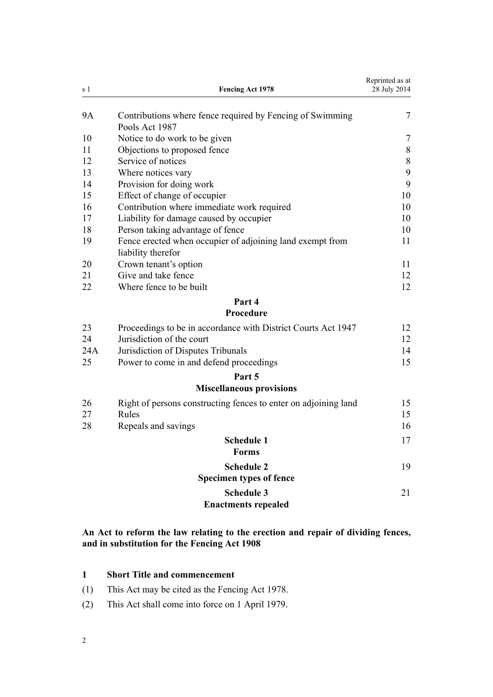<span id="page-1-0"></span>

| s <sub>1</sub> | <b>Fencing Act 1978</b>                                                         | Reprinted as at<br>28 July 2014 |
|----------------|---------------------------------------------------------------------------------|---------------------------------|
| <b>9A</b>      | Contributions where fence required by Fencing of Swimming<br>Pools Act 1987     | 7                               |
| 10             | Notice to do work to be given                                                   | 7                               |
| 11             | Objections to proposed fence                                                    | $\, 8$                          |
| 12             | Service of notices                                                              | $8\,$                           |
| 13             | Where notices vary                                                              | 9                               |
| 14             | Provision for doing work                                                        | 9                               |
| 15             | Effect of change of occupier                                                    | 10                              |
| 16             | Contribution where immediate work required                                      | 10                              |
| 17             | Liability for damage caused by occupier                                         | 10                              |
| 18             | Person taking advantage of fence                                                | 10                              |
| 19             | Fence erected when occupier of adjoining land exempt from<br>liability therefor | 11                              |
| 20             | Crown tenant's option                                                           | 11                              |
| 21             | Give and take fence                                                             | 12                              |
| 22             | Where fence to be built                                                         | 12                              |
|                | Part 4<br>Procedure                                                             |                                 |
| 23             | Proceedings to be in accordance with District Courts Act 1947                   | 12                              |
| 24             | Jurisdiction of the court                                                       | 12                              |
| 24A            | Jurisdiction of Disputes Tribunals                                              | 14                              |
| 25             | Power to come in and defend proceedings                                         | 15                              |
|                | Part 5                                                                          |                                 |
|                | <b>Miscellaneous provisions</b>                                                 |                                 |
| 26             | Right of persons constructing fences to enter on adjoining land                 | 15                              |
| 27             | Rules                                                                           | 15                              |
| 28             | Repeals and savings                                                             | 16                              |
|                | <b>Schedule 1</b>                                                               | 17                              |
|                | <b>Forms</b>                                                                    |                                 |
|                | <b>Schedule 2</b>                                                               | 19                              |
|                | <b>Specimen types of fence</b>                                                  |                                 |
|                | <b>Schedule 3</b>                                                               | 21                              |
|                | <b>Enactments repealed</b>                                                      |                                 |
|                |                                                                                 |                                 |

## **An Act to reform the law relating to the erection and repair of dividing fences, and in substitution for the Fencing Act 1908**

| <b>Short Title and commencement</b> |  |  |  |
|-------------------------------------|--|--|--|
|-------------------------------------|--|--|--|

- (1) This Act may be cited as the Fencing Act 1978.
- (2) This Act shall come into force on 1 April 1979.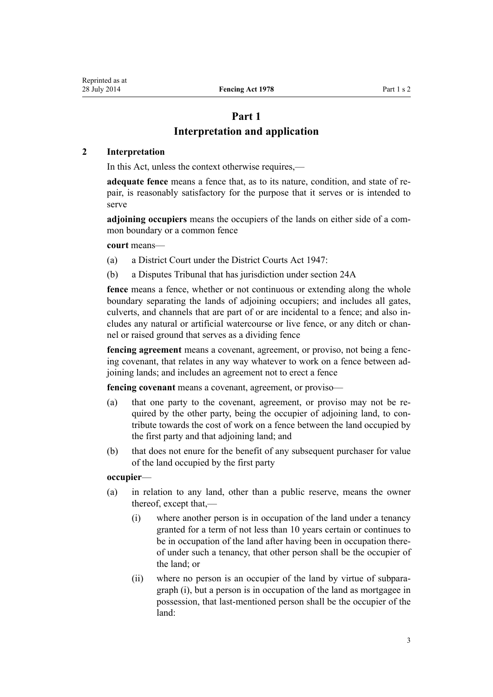## **Part 1 Interpretation and application**

### <span id="page-2-0"></span>**2 Interpretation**

In this Act, unless the context otherwise requires,—

**adequate fence** means a fence that, as to its nature, condition, and state of repair, is reasonably satisfactory for the purpose that it serves or is intended to serve

**adjoining occupiers** means the occupiers of the lands on either side of a common boundary or a common fence

**court** means—

- (a) a District Court under the [District Courts Act 1947](http://prd-lgnz-nlb.prd.pco.net.nz/pdflink.aspx?id=DLM242775):
- (b) a Disputes Tribunal that has jurisdiction under [section 24A](#page-13-0)

**fence** means a fence, whether or not continuous or extending along the whole boundary separating the lands of adjoining occupiers; and includes all gates, culverts, and channels that are part of or are incidental to a fence; and also includes any natural or artificial watercourse or live fence, or any ditch or channel or raised ground that serves as a dividing fence

**fencing agreement** means a covenant, agreement, or proviso, not being a fencing covenant, that relates in any way whatever to work on a fence between adjoining lands; and includes an agreement not to erect a fence

**fencing covenant** means a covenant, agreement, or proviso—

- (a) that one party to the covenant, agreement, or proviso may not be required by the other party, being the occupier of adjoining land, to contribute towards the cost of work on a fence between the land occupied by the first party and that adjoining land; and
- (b) that does not enure for the benefit of any subsequent purchaser for value of the land occupied by the first party

## **occupier**—

- (a) in relation to any land, other than a public reserve, means the owner thereof, except that,—
	- (i) where another person is in occupation of the land under a tenancy granted for a term of not less than 10 years certain or continues to be in occupation of the land after having been in occupation thereof under such a tenancy, that other person shall be the occupier of the land; or
	- (ii) where no person is an occupier of the land by virtue of subparagraph (i), but a person is in occupation of the land as mortgagee in possession, that last-mentioned person shall be the occupier of the land: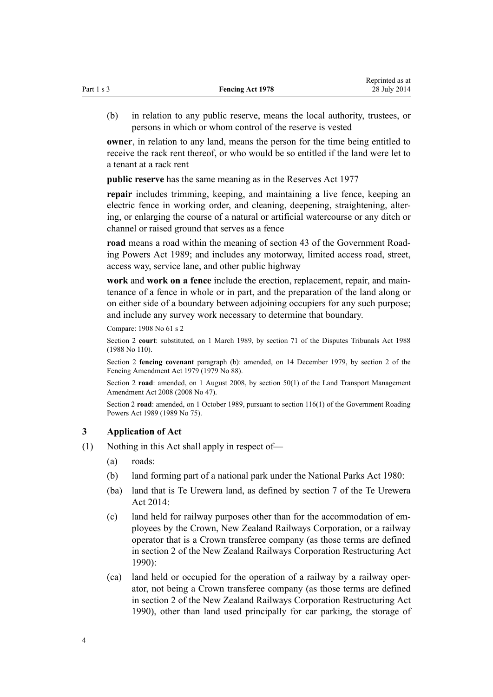<span id="page-3-0"></span>

| Part 1 s 3 | <b>Fencing Act 1978</b> | reprinted as at<br>28 July 2014 |
|------------|-------------------------|---------------------------------|
|            |                         |                                 |

(b) in relation to any public reserve, means the local authority, trustees, or persons in which or whom control of the reserve is vested

Reprinted as at

**owner**, in relation to any land, means the person for the time being entitled to receive the rack rent thereof, or who would be so entitled if the land were let to a tenant at a rack rent

**public reserve** has the same meaning as in the [Reserves Act 1977](http://prd-lgnz-nlb.prd.pco.net.nz/pdflink.aspx?id=DLM444304)

**repair** includes trimming, keeping, and maintaining a live fence, keeping an electric fence in working order, and cleaning, deepening, straightening, altering, or enlarging the course of a natural or artificial watercourse or any ditch or channel or raised ground that serves as a fence

**road** means a road within the meaning of [section 43](http://prd-lgnz-nlb.prd.pco.net.nz/pdflink.aspx?id=DLM175232) of the Government Roading Powers Act 1989; and includes any motorway, limited access road, street, access way, service lane, and other public highway

**work** and **work on a fence** include the erection, replacement, repair, and maintenance of a fence in whole or in part, and the preparation of the land along or on either side of a boundary between adjoining occupiers for any such purpose; and include any survey work necessary to determine that boundary.

Compare: 1908 No 61 s 2

Section 2 **court**: substituted, on 1 March 1989, by [section 71](http://prd-lgnz-nlb.prd.pco.net.nz/pdflink.aspx?id=DLM134143) of the Disputes Tribunals Act 1988 (1988 No 110).

Section 2 **fencing covenant** paragraph (b): amended, on 14 December 1979, by section 2 of the Fencing Amendment Act 1979 (1979 No 88).

Section 2 **road**: amended, on 1 August 2008, by [section 50\(1\)](http://prd-lgnz-nlb.prd.pco.net.nz/pdflink.aspx?id=DLM1313622) of the Land Transport Management Amendment Act 2008 (2008 No 47).

Section 2 **road**: amended, on 1 October 1989, pursuant to [section 116\(1\)](http://prd-lgnz-nlb.prd.pco.net.nz/pdflink.aspx?id=DLM175926) of the Government Roading Powers Act 1989 (1989 No 75).

### **3 Application of Act**

- (1) Nothing in this Act shall apply in respect of—
	- (a) roads:
	- (b) land forming part of a national park under the [National Parks Act 1980:](http://prd-lgnz-nlb.prd.pco.net.nz/pdflink.aspx?id=DLM36962)
	- (ba) land that is Te Urewera land, as defined by [section 7](http://prd-lgnz-nlb.prd.pco.net.nz/pdflink.aspx?id=DLM6183614) of the Te Urewera Act 2014:
	- (c) land held for railway purposes other than for the accommodation of employees by the Crown, New Zealand Railways Corporation, or a railway operator that is a Crown transferee company (as those terms are defined in [section 2](http://prd-lgnz-nlb.prd.pco.net.nz/pdflink.aspx?id=DLM222636) of the New Zealand Railways Corporation Restructuring Act  $1990$
	- (ca) land held or occupied for the operation of a railway by a railway operator, not being a Crown transferee company (as those terms are defined in [section 2](http://prd-lgnz-nlb.prd.pco.net.nz/pdflink.aspx?id=DLM222636) of the New Zealand Railways Corporation Restructuring Act 1990), other than land used principally for car parking, the storage of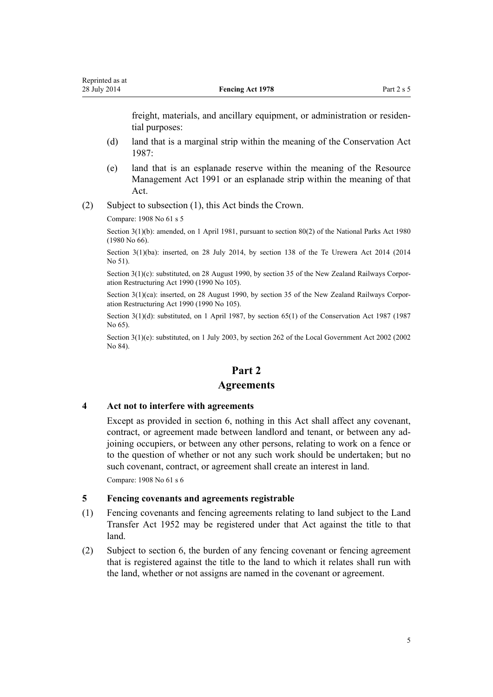<span id="page-4-0"></span>freight, materials, and ancillary equipment, or administration or residential purposes:

- (d) land that is a marginal strip within the meaning of the [Conservation Act](http://prd-lgnz-nlb.prd.pco.net.nz/pdflink.aspx?id=DLM103609) [1987](http://prd-lgnz-nlb.prd.pco.net.nz/pdflink.aspx?id=DLM103609):
- (e) land that is an esplanade reserve within the meaning of the [Resource](http://prd-lgnz-nlb.prd.pco.net.nz/pdflink.aspx?id=DLM230264) [Management Act 1991](http://prd-lgnz-nlb.prd.pco.net.nz/pdflink.aspx?id=DLM230264) or an esplanade strip within the meaning of that Act.
- (2) Subject to subsection (1), this Act binds the Crown.

Compare: 1908 No 61 s 5

Section 3(1)(b): amended, on 1 April 1981, pursuant to [section 80\(2\)](http://prd-lgnz-nlb.prd.pco.net.nz/pdflink.aspx?id=DLM38526) of the National Parks Act 1980 (1980 No 66).

Section 3(1)(ba): inserted, on 28 July 2014, by [section 138](http://prd-lgnz-nlb.prd.pco.net.nz/pdflink.aspx?id=DLM6183949) of the Te Urewera Act 2014 (2014 No 51).

Section 3(1)(c): substituted, on 28 August 1990, by [section 35](http://prd-lgnz-nlb.prd.pco.net.nz/pdflink.aspx?id=DLM223141) of the New Zealand Railways Corporation Restructuring Act 1990 (1990 No 105).

Section 3(1)(ca): inserted, on 28 August 1990, by [section 35](http://prd-lgnz-nlb.prd.pco.net.nz/pdflink.aspx?id=DLM223141) of the New Zealand Railways Corporation Restructuring Act 1990 (1990 No 105).

Section 3(1)(d): substituted, on 1 April 1987, by [section 65\(1\)](http://prd-lgnz-nlb.prd.pco.net.nz/pdflink.aspx?id=DLM106995) of the Conservation Act 1987 (1987) No 65).

Section 3(1)(e): substituted, on 1 July 2003, by [section 262](http://prd-lgnz-nlb.prd.pco.net.nz/pdflink.aspx?id=DLM174088) of the Local Government Act 2002 (2002) No 84).

## **Part 2**

#### **Agreements**

#### **4 Act not to interfere with agreements**

Except as provided in [section 6](#page-5-0), nothing in this Act shall affect any covenant, contract, or agreement made between landlord and tenant, or between any adjoining occupiers, or between any other persons, relating to work on a fence or to the question of whether or not any such work should be undertaken; but no such covenant, contract, or agreement shall create an interest in land.

Compare: 1908 No 61 s 6

## **5 Fencing covenants and agreements registrable**

- (1) Fencing covenants and fencing agreements relating to land subject to the [Land](http://prd-lgnz-nlb.prd.pco.net.nz/pdflink.aspx?id=DLM269031) [Transfer Act 1952](http://prd-lgnz-nlb.prd.pco.net.nz/pdflink.aspx?id=DLM269031) may be registered under that Act against the title to that land.
- (2) Subject to [section 6,](#page-5-0) the burden of any fencing covenant or fencing agreement that is registered against the title to the land to which it relates shall run with the land, whether or not assigns are named in the covenant or agreement.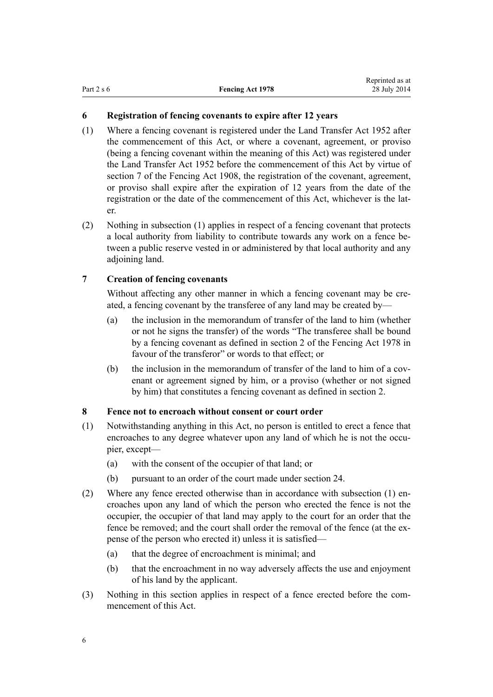### <span id="page-5-0"></span>**6 Registration of fencing covenants to expire after 12 years**

- (1) Where a fencing covenant is registered under the [Land Transfer Act 1952](http://prd-lgnz-nlb.prd.pco.net.nz/pdflink.aspx?id=DLM269031) after the commencement of this Act, or where a covenant, agreement, or proviso (being a fencing covenant within the meaning of this Act) was registered under the [Land Transfer Act 1952](http://prd-lgnz-nlb.prd.pco.net.nz/pdflink.aspx?id=DLM269031) before the commencement of this Act by virtue of section 7 of the Fencing Act 1908, the registration of the covenant, agreement, or proviso shall expire after the expiration of 12 years from the date of the registration or the date of the commencement of this Act, whichever is the later.
- (2) Nothing in subsection (1) applies in respect of a fencing covenant that protects a local authority from liability to contribute towards any work on a fence between a public reserve vested in or administered by that local authority and any adjoining land.

## **7 Creation of fencing covenants**

Without affecting any other manner in which a fencing covenant may be created, a fencing covenant by the transferee of any land may be created by—

- (a) the inclusion in the memorandum of transfer of the land to him (whether or not he signs the transfer) of the words "The transferee shall be bound by a fencing covenant as defined in [section 2](#page-2-0) of the Fencing Act 1978 in favour of the transferor" or words to that effect; or
- (b) the inclusion in the memorandum of transfer of the land to him of a covenant or agreement signed by him, or a proviso (whether or not signed by him) that constitutes a fencing covenant as defined in [section 2.](#page-2-0)

## **8 Fence not to encroach without consent or court order**

- (1) Notwithstanding anything in this Act, no person is entitled to erect a fence that encroaches to any degree whatever upon any land of which he is not the occupier, except—
	- (a) with the consent of the occupier of that land; or
	- (b) pursuant to an order of the court made under [section 24](#page-11-0).
- (2) Where any fence erected otherwise than in accordance with subsection (1) encroaches upon any land of which the person who erected the fence is not the occupier, the occupier of that land may apply to the court for an order that the fence be removed; and the court shall order the removal of the fence (at the expense of the person who erected it) unless it is satisfied—
	- (a) that the degree of encroachment is minimal; and
	- (b) that the encroachment in no way adversely affects the use and enjoyment of his land by the applicant.
- (3) Nothing in this section applies in respect of a fence erected before the commencement of this Act.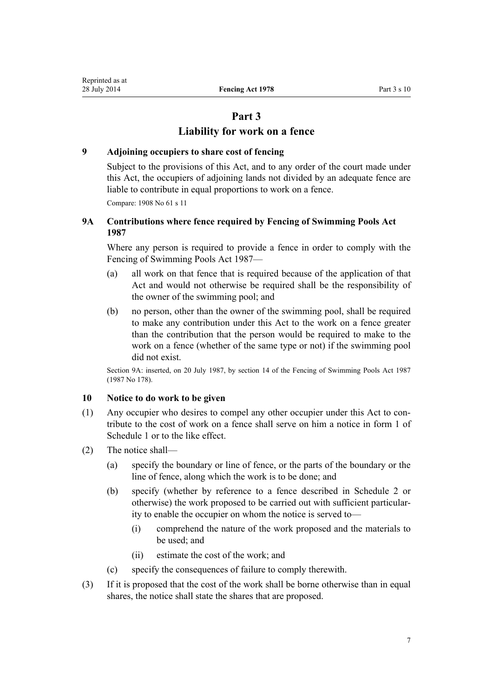## **Part 3**

## **Liability for work on a fence**

#### <span id="page-6-0"></span>**9 Adjoining occupiers to share cost of fencing**

Subject to the provisions of this Act, and to any order of the court made under this Act, the occupiers of adjoining lands not divided by an adequate fence are liable to contribute in equal proportions to work on a fence.

Compare: 1908 No 61 s 11

## **9A Contributions where fence required by Fencing of Swimming Pools Act 1987**

Where any person is required to provide a fence in order to comply with the [Fencing of Swimming Pools Act 1987—](http://prd-lgnz-nlb.prd.pco.net.nz/pdflink.aspx?id=DLM124441)

- (a) all work on that fence that is required because of the application of that Act and would not otherwise be required shall be the responsibility of the owner of the swimming pool; and
- (b) no person, other than the owner of the swimming pool, shall be required to make any contribution under this Act to the work on a fence greater than the contribution that the person would be required to make to the work on a fence (whether of the same type or not) if the swimming pool did not exist.

Section 9A: inserted, on 20 July 1987, by [section 14](http://prd-lgnz-nlb.prd.pco.net.nz/pdflink.aspx?id=DLM124495) of the Fencing of Swimming Pools Act 1987 (1987 No 178).

## **10 Notice to do work to be given**

- (1) Any occupier who desires to compel any other occupier under this Act to contribute to the cost of work on a fence shall serve on him a notice in form 1 of [Schedule 1](#page-16-0) or to the like effect.
- (2) The notice shall—
	- (a) specify the boundary or line of fence, or the parts of the boundary or the line of fence, along which the work is to be done; and
	- (b) specify (whether by reference to a fence described in [Schedule 2](#page-18-0) or otherwise) the work proposed to be carried out with sufficient particularity to enable the occupier on whom the notice is served to—
		- (i) comprehend the nature of the work proposed and the materials to be used; and
		- (ii) estimate the cost of the work; and
	- (c) specify the consequences of failure to comply therewith.
- (3) If it is proposed that the cost of the work shall be borne otherwise than in equal shares, the notice shall state the shares that are proposed.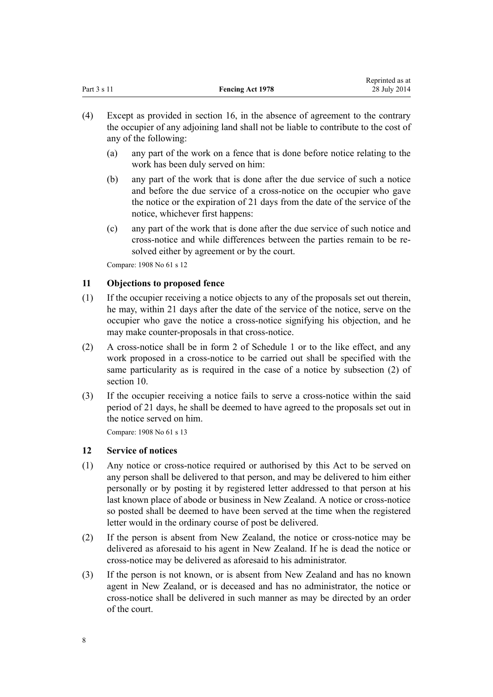<span id="page-7-0"></span>

|             |                         | Reprinted as at |
|-------------|-------------------------|-----------------|
| Part 3 s 11 | <b>Fencing Act 1978</b> | 28 July 2014    |

- (4) Except as provided in [section 16,](#page-9-0) in the absence of agreement to the contrary the occupier of any adjoining land shall not be liable to contribute to the cost of any of the following:
	- (a) any part of the work on a fence that is done before notice relating to the work has been duly served on him:
	- (b) any part of the work that is done after the due service of such a notice and before the due service of a cross-notice on the occupier who gave the notice or the expiration of 21 days from the date of the service of the notice, whichever first happens:
	- (c) any part of the work that is done after the due service of such notice and cross-notice and while differences between the parties remain to be resolved either by agreement or by the court.

Compare: 1908 No 61 s 12

#### **11 Objections to proposed fence**

- (1) If the occupier receiving a notice objects to any of the proposals set out therein, he may, within 21 days after the date of the service of the notice, serve on the occupier who gave the notice a cross-notice signifying his objection, and he may make counter-proposals in that cross-notice.
- (2) A cross-notice shall be in form 2 of [Schedule 1](#page-16-0) or to the like effect, and any work proposed in a cross-notice to be carried out shall be specified with the same particularity as is required in the case of a notice by subsection (2) of [section 10](#page-6-0).
- (3) If the occupier receiving a notice fails to serve a cross-notice within the said period of 21 days, he shall be deemed to have agreed to the proposals set out in the notice served on him.

Compare: 1908 No 61 s 13

#### **12 Service of notices**

- (1) Any notice or cross-notice required or authorised by this Act to be served on any person shall be delivered to that person, and may be delivered to him either personally or by posting it by registered letter addressed to that person at his last known place of abode or business in New Zealand. A notice or cross-notice so posted shall be deemed to have been served at the time when the registered letter would in the ordinary course of post be delivered.
- (2) If the person is absent from New Zealand, the notice or cross-notice may be delivered as aforesaid to his agent in New Zealand. If he is dead the notice or cross-notice may be delivered as aforesaid to his administrator.
- (3) If the person is not known, or is absent from New Zealand and has no known agent in New Zealand, or is deceased and has no administrator, the notice or cross-notice shall be delivered in such manner as may be directed by an order of the court.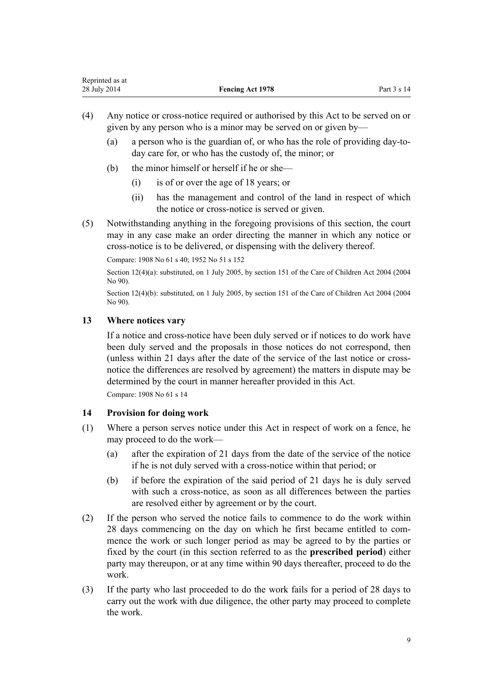- <span id="page-8-0"></span>(4) Any notice or cross-notice required or authorised by this Act to be served on or given by any person who is a minor may be served on or given by—
	- (a) a person who is the guardian of, or who has the role of providing day-today care for, or who has the custody of, the minor; or
	- (b) the minor himself or herself if he or she—
		- (i) is of or over the age of 18 years; or
		- (ii) has the management and control of the land in respect of which the notice or cross-notice is served or given.
- (5) Notwithstanding anything in the foregoing provisions of this section, the court may in any case make an order directing the manner in which any notice or cross-notice is to be delivered, or dispensing with the delivery thereof.

Compare: 1908 No 61 s 40; 1952 No 51 s [152](http://prd-lgnz-nlb.prd.pco.net.nz/pdflink.aspx?id=DLM268967)

Section 12(4)(a): substituted, on 1 July 2005, by [section 151](http://prd-lgnz-nlb.prd.pco.net.nz/pdflink.aspx?id=DLM317988) of the Care of Children Act 2004 (2004) No 90).

Section 12(4)(b): substituted, on 1 July 2005, by [section 151](http://prd-lgnz-nlb.prd.pco.net.nz/pdflink.aspx?id=DLM317988) of the Care of Children Act 2004 (2004) No 90).

### **13 Where notices vary**

If a notice and cross-notice have been duly served or if notices to do work have been duly served and the proposals in those notices do not correspond, then (unless within 21 days after the date of the service of the last notice or crossnotice the differences are resolved by agreement) the matters in dispute may be determined by the court in manner hereafter provided in this Act.

Compare: 1908 No 61 s 14

## **14 Provision for doing work**

- (1) Where a person serves notice under this Act in respect of work on a fence, he may proceed to do the work—
	- (a) after the expiration of 21 days from the date of the service of the notice if he is not duly served with a cross-notice within that period; or
	- (b) if before the expiration of the said period of 21 days he is duly served with such a cross-notice, as soon as all differences between the parties are resolved either by agreement or by the court.
- (2) If the person who served the notice fails to commence to do the work within 28 days commencing on the day on which he first became entitled to commence the work or such longer period as may be agreed to by the parties or fixed by the court (in this section referred to as the **prescribed period**) either party may thereupon, or at any time within 90 days thereafter, proceed to do the work.
- (3) If the party who last proceeded to do the work fails for a period of 28 days to carry out the work with due diligence, the other party may proceed to complete the work.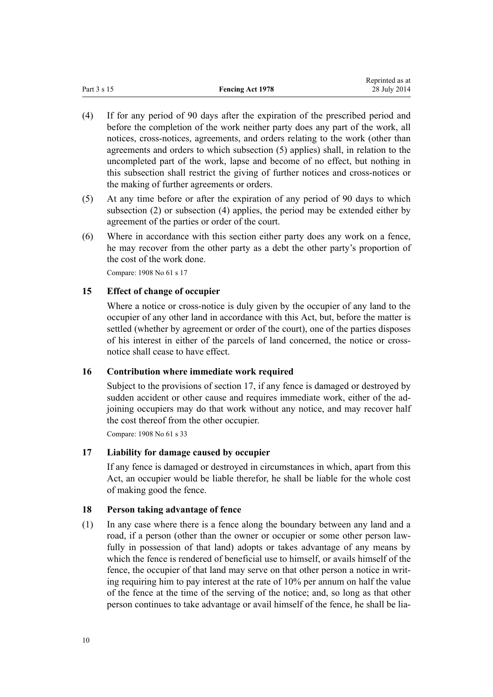<span id="page-9-0"></span>

|             |                         | Reprinted as at |
|-------------|-------------------------|-----------------|
| Part 3 s 15 | <b>Fencing Act 1978</b> | 28 July 2014    |

- (4) If for any period of 90 days after the expiration of the prescribed period and before the completion of the work neither party does any part of the work, all notices, cross-notices, agreements, and orders relating to the work (other than agreements and orders to which subsection (5) applies) shall, in relation to the uncompleted part of the work, lapse and become of no effect, but nothing in this subsection shall restrict the giving of further notices and cross-notices or the making of further agreements or orders.
- (5) At any time before or after the expiration of any period of 90 days to which subsection (2) or subsection (4) applies, the period may be extended either by agreement of the parties or order of the court.
- (6) Where in accordance with this section either party does any work on a fence, he may recover from the other party as a debt the other party's proportion of the cost of the work done.

Compare: 1908 No 61 s 17

#### **15 Effect of change of occupier**

Where a notice or cross-notice is duly given by the occupier of any land to the occupier of any other land in accordance with this Act, but, before the matter is settled (whether by agreement or order of the court), one of the parties disposes of his interest in either of the parcels of land concerned, the notice or crossnotice shall cease to have effect.

### **16 Contribution where immediate work required**

Subject to the provisions of section 17, if any fence is damaged or destroyed by sudden accident or other cause and requires immediate work, either of the adjoining occupiers may do that work without any notice, and may recover half the cost thereof from the other occupier.

Compare: 1908 No 61 s 33

#### **17 Liability for damage caused by occupier**

If any fence is damaged or destroyed in circumstances in which, apart from this Act, an occupier would be liable therefor, he shall be liable for the whole cost of making good the fence.

#### **18 Person taking advantage of fence**

(1) In any case where there is a fence along the boundary between any land and a road, if a person (other than the owner or occupier or some other person lawfully in possession of that land) adopts or takes advantage of any means by which the fence is rendered of beneficial use to himself, or avails himself of the fence, the occupier of that land may serve on that other person a notice in writing requiring him to pay interest at the rate of 10% per annum on half the value of the fence at the time of the serving of the notice; and, so long as that other person continues to take advantage or avail himself of the fence, he shall be lia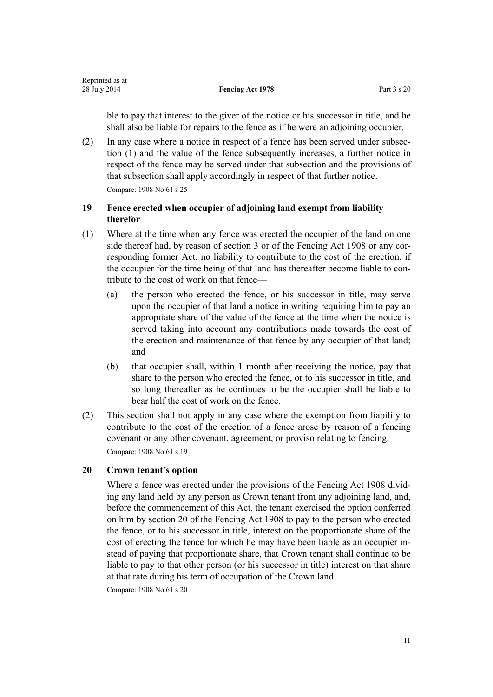<span id="page-10-0"></span>ble to pay that interest to the giver of the notice or his successor in title, and he shall also be liable for repairs to the fence as if he were an adjoining occupier.

(2) In any case where a notice in respect of a fence has been served under subsection (1) and the value of the fence subsequently increases, a further notice in respect of the fence may be served under that subsection and the provisions of that subsection shall apply accordingly in respect of that further notice. Compare: 1908 No 61 s 25

## **19 Fence erected when occupier of adjoining land exempt from liability therefor**

- (1) Where at the time when any fence was erected the occupier of the land on one side thereof had, by reason of [section 3](#page-3-0) or of the Fencing Act 1908 or any corresponding former Act, no liability to contribute to the cost of the erection, if the occupier for the time being of that land has thereafter become liable to contribute to the cost of work on that fence—
	- (a) the person who erected the fence, or his successor in title, may serve upon the occupier of that land a notice in writing requiring him to pay an appropriate share of the value of the fence at the time when the notice is served taking into account any contributions made towards the cost of the erection and maintenance of that fence by any occupier of that land; and
	- (b) that occupier shall, within 1 month after receiving the notice, pay that share to the person who erected the fence, or to his successor in title, and so long thereafter as he continues to be the occupier shall be liable to bear half the cost of work on the fence.
- (2) This section shall not apply in any case where the exemption from liability to contribute to the cost of the erection of a fence arose by reason of a fencing covenant or any other covenant, agreement, or proviso relating to fencing. Compare: 1908 No 61 s 19

## **20 Crown tenant's option**

Where a fence was erected under the provisions of the Fencing Act 1908 dividing any land held by any person as Crown tenant from any adjoining land, and, before the commencement of this Act, the tenant exercised the option conferred on him by section 20 of the Fencing Act 1908 to pay to the person who erected the fence, or to his successor in title, interest on the proportionate share of the cost of erecting the fence for which he may have been liable as an occupier instead of paying that proportionate share, that Crown tenant shall continue to be liable to pay to that other person (or his successor in title) interest on that share at that rate during his term of occupation of the Crown land.

Compare: 1908 No 61 s 20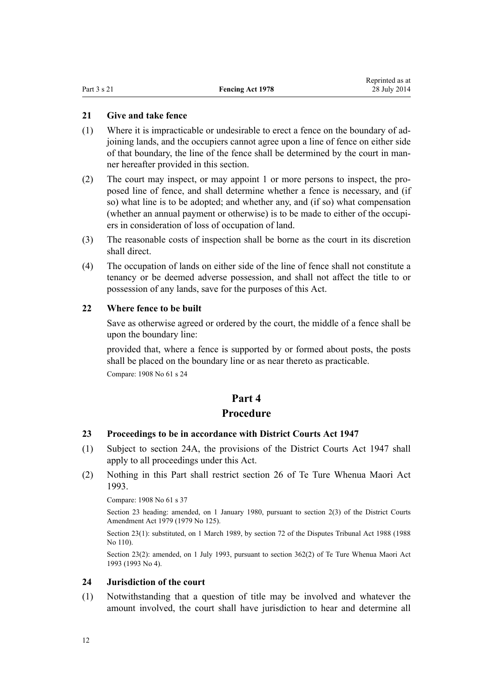#### <span id="page-11-0"></span>**21 Give and take fence**

- (1) Where it is impracticable or undesirable to erect a fence on the boundary of adjoining lands, and the occupiers cannot agree upon a line of fence on either side of that boundary, the line of the fence shall be determined by the court in manner hereafter provided in this section.
- (2) The court may inspect, or may appoint 1 or more persons to inspect, the proposed line of fence, and shall determine whether a fence is necessary, and (if so) what line is to be adopted; and whether any, and (if so) what compensation (whether an annual payment or otherwise) is to be made to either of the occupiers in consideration of loss of occupation of land.
- (3) The reasonable costs of inspection shall be borne as the court in its discretion shall direct.
- (4) The occupation of lands on either side of the line of fence shall not constitute a tenancy or be deemed adverse possession, and shall not affect the title to or possession of any lands, save for the purposes of this Act.

#### **22 Where fence to be built**

Save as otherwise agreed or ordered by the court, the middle of a fence shall be upon the boundary line:

provided that, where a fence is supported by or formed about posts, the posts shall be placed on the boundary line or as near thereto as practicable. Compare: 1908 No 61 s 24

## **Part 4**

## **Procedure**

#### **23 Proceedings to be in accordance with District Courts Act 1947**

- (1) Subject to [section 24A](#page-13-0), the provisions of the District Courts Act 1947 shall apply to all proceedings under this Act.
- (2) Nothing in this Part shall restrict [section 26](http://prd-lgnz-nlb.prd.pco.net.nz/pdflink.aspx?id=DLM290564) of Te Ture Whenua Maori Act 1993.

Compare: 1908 No 61 s 37

Section 23 heading: amended, on 1 January 1980, pursuant to [section 2\(3\)](http://prd-lgnz-nlb.prd.pco.net.nz/pdflink.aspx?id=DLM35057) of the District Courts Amendment Act 1979 (1979 No 125).

Section 23(1): substituted, on 1 March 1989, by [section 72](http://prd-lgnz-nlb.prd.pco.net.nz/pdflink.aspx?id=DLM134146) of the Disputes Tribunal Act 1988 (1988) No 110).

Section 23(2): amended, on 1 July 1993, pursuant to [section 362\(2\)](http://prd-lgnz-nlb.prd.pco.net.nz/pdflink.aspx?id=DLM293026) of Te Ture Whenua Maori Act 1993 (1993 No 4).

#### **24 Jurisdiction of the court**

(1) Notwithstanding that a question of title may be involved and whatever the amount involved, the court shall have jurisdiction to hear and determine all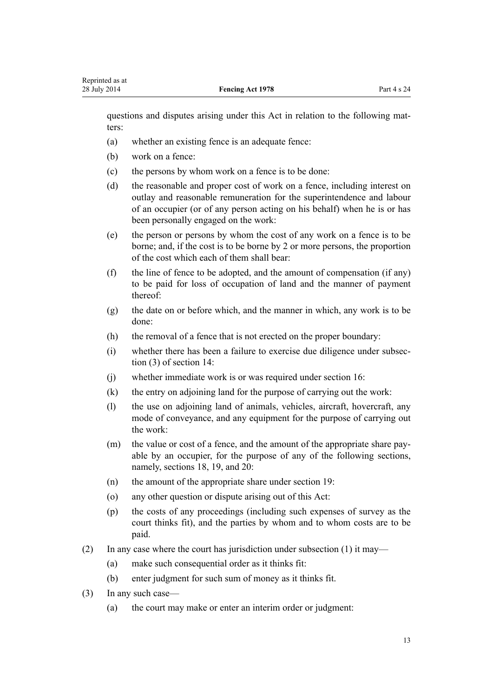questions and disputes arising under this Act in relation to the following matters:

- (a) whether an existing fence is an adequate fence:
- (b) work on a fence:
- (c) the persons by whom work on a fence is to be done:
- (d) the reasonable and proper cost of work on a fence, including interest on outlay and reasonable remuneration for the superintendence and labour of an occupier (or of any person acting on his behalf) when he is or has been personally engaged on the work:
- (e) the person or persons by whom the cost of any work on a fence is to be borne; and, if the cost is to be borne by 2 or more persons, the proportion of the cost which each of them shall bear:
- (f) the line of fence to be adopted, and the amount of compensation (if any) to be paid for loss of occupation of land and the manner of payment thereof:
- (g) the date on or before which, and the manner in which, any work is to be done:
- (h) the removal of a fence that is not erected on the proper boundary:
- (i) whether there has been a failure to exercise due diligence under subsection (3) of [section 14:](#page-8-0)
- (j) whether immediate work is or was required under [section 16](#page-9-0):
- (k) the entry on adjoining land for the purpose of carrying out the work:
- (l) the use on adjoining land of animals, vehicles, aircraft, hovercraft, any mode of conveyance, and any equipment for the purpose of carrying out the work:
- (m) the value or cost of a fence, and the amount of the appropriate share payable by an occupier, for the purpose of any of the following sections, namely, [sections 18](#page-9-0), [19,](#page-10-0) and [20](#page-10-0):
- (n) the amount of the appropriate share under [section 19](#page-10-0):
- (o) any other question or dispute arising out of this Act:
- (p) the costs of any proceedings (including such expenses of survey as the court thinks fit), and the parties by whom and to whom costs are to be paid.
- (2) In any case where the court has jurisdiction under subsection (1) it may—
	- (a) make such consequential order as it thinks fit:
	- (b) enter judgment for such sum of money as it thinks fit.
- (3) In any such case—
	- (a) the court may make or enter an interim order or judgment: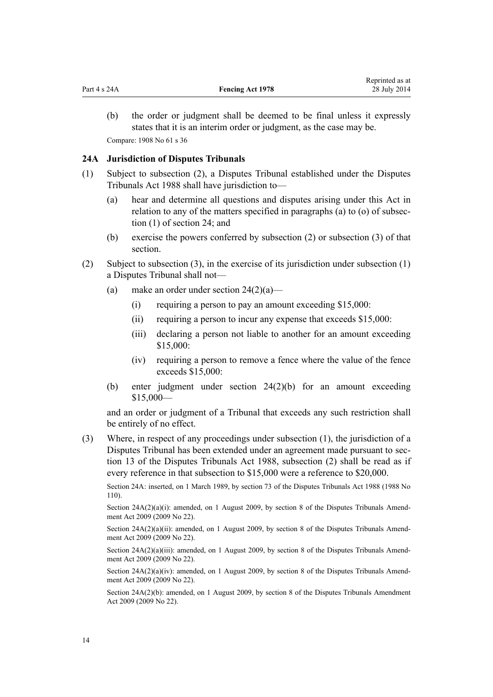<span id="page-13-0"></span>(b) the order or judgment shall be deemed to be final unless it expressly states that it is an interim order or judgment, as the case may be. Compare: 1908 No 61 s 36

#### **24A Jurisdiction of Disputes Tribunals**

- (1) Subject to subsection (2), a Disputes Tribunal established under the [Disputes](http://prd-lgnz-nlb.prd.pco.net.nz/pdflink.aspx?id=DLM133281) [Tribunals Act 1988](http://prd-lgnz-nlb.prd.pco.net.nz/pdflink.aspx?id=DLM133281) shall have jurisdiction to—
	- (a) hear and determine all questions and disputes arising under this Act in relation to any of the matters specified in paragraphs (a) to (o) of subsection (1) of [section 24;](#page-11-0) and
	- (b) exercise the powers conferred by subsection (2) or subsection (3) of that section.
- (2) Subject to subsection (3), in the exercise of its jurisdiction under subsection (1) a Disputes Tribunal shall not—
	- (a) make an order under section  $24(2)(a)$ 
		- (i) requiring a person to pay an amount exceeding \$15,000:
		- (ii) requiring a person to incur any expense that exceeds \$15,000:
		- (iii) declaring a person not liable to another for an amount exceeding \$15,000:
		- (iv) requiring a person to remove a fence where the value of the fence exceeds \$15,000:
	- (b) enter judgment under [section 24\(2\)\(b\)](#page-11-0) for an amount exceeding \$15,000—

and an order or judgment of a Tribunal that exceeds any such restriction shall be entirely of no effect.

(3) Where, in respect of any proceedings under subsection (1), the jurisdiction of a Disputes Tribunal has been extended under an agreement made pursuant to [sec](http://prd-lgnz-nlb.prd.pco.net.nz/pdflink.aspx?id=DLM133648)[tion 13](http://prd-lgnz-nlb.prd.pco.net.nz/pdflink.aspx?id=DLM133648) of the Disputes Tribunals Act 1988, subsection (2) shall be read as if every reference in that subsection to \$15,000 were a reference to \$20,000.

Section 24A: inserted, on 1 March 1989, by [section 73](http://prd-lgnz-nlb.prd.pco.net.nz/pdflink.aspx?id=DLM134147) of the Disputes Tribunals Act 1988 (1988 No 110).

Section  $24A(2)(a)(i)$ : amended, on 1 August 2009, by [section 8](http://prd-lgnz-nlb.prd.pco.net.nz/pdflink.aspx?id=DLM1919616) of the Disputes Tribunals Amendment Act 2009 (2009 No 22).

Section 24A(2)(a)(ii): amended, on 1 August 2009, by [section 8](http://prd-lgnz-nlb.prd.pco.net.nz/pdflink.aspx?id=DLM1919616) of the Disputes Tribunals Amendment Act 2009 (2009 No 22).

Section 24A(2)(a)(iii): amended, on 1 August 2009, by [section 8](http://prd-lgnz-nlb.prd.pco.net.nz/pdflink.aspx?id=DLM1919616) of the Disputes Tribunals Amendment Act 2009 (2009 No 22).

Section  $24A(2)(a)(iv)$ : amended, on 1 August 2009, by [section 8](http://prd-lgnz-nlb.prd.pco.net.nz/pdflink.aspx?id=DLM1919616) of the Disputes Tribunals Amendment Act 2009 (2009 No 22).

Section 24A(2)(b): amended, on 1 August 2009, by [section 8](http://prd-lgnz-nlb.prd.pco.net.nz/pdflink.aspx?id=DLM1919616) of the Disputes Tribunals Amendment Act 2009 (2009 No 22).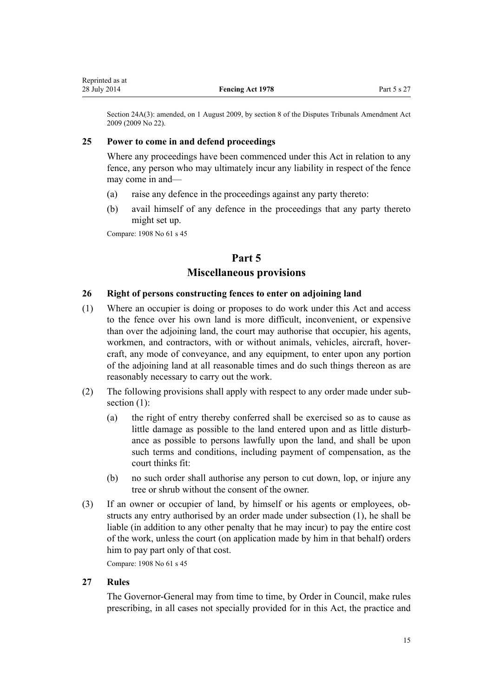<span id="page-14-0"></span>Section 24A(3): amended, on 1 August 2009, by [section 8](http://prd-lgnz-nlb.prd.pco.net.nz/pdflink.aspx?id=DLM1919616) of the Disputes Tribunals Amendment Act 2009 (2009 No 22).

#### **25 Power to come in and defend proceedings**

Where any proceedings have been commenced under this Act in relation to any fence, any person who may ultimately incur any liability in respect of the fence may come in and—

- (a) raise any defence in the proceedings against any party thereto:
- (b) avail himself of any defence in the proceedings that any party thereto might set up.

Compare: 1908 No 61 s 45

## **Part 5 Miscellaneous provisions**

#### **26 Right of persons constructing fences to enter on adjoining land**

- (1) Where an occupier is doing or proposes to do work under this Act and access to the fence over his own land is more difficult, inconvenient, or expensive than over the adjoining land, the court may authorise that occupier, his agents, workmen, and contractors, with or without animals, vehicles, aircraft, hovercraft, any mode of conveyance, and any equipment, to enter upon any portion of the adjoining land at all reasonable times and do such things thereon as are reasonably necessary to carry out the work.
- (2) The following provisions shall apply with respect to any order made under subsection  $(1)$ :
	- (a) the right of entry thereby conferred shall be exercised so as to cause as little damage as possible to the land entered upon and as little disturbance as possible to persons lawfully upon the land, and shall be upon such terms and conditions, including payment of compensation, as the court thinks fit:
	- (b) no such order shall authorise any person to cut down, lop, or injure any tree or shrub without the consent of the owner.
- (3) If an owner or occupier of land, by himself or his agents or employees, obstructs any entry authorised by an order made under subsection (1), he shall be liable (in addition to any other penalty that he may incur) to pay the entire cost of the work, unless the court (on application made by him in that behalf) orders him to pay part only of that cost.

Compare: 1908 No 61 s 45

#### **27 Rules**

The Governor-General may from time to time, by Order in Council, make rules prescribing, in all cases not specially provided for in this Act, the practice and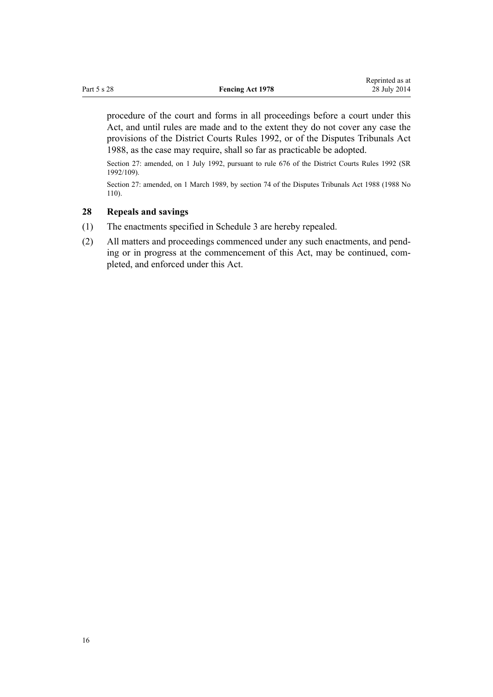<span id="page-15-0"></span>procedure of the court and forms in all proceedings before a court under this Act, and until rules are made and to the extent they do not cover any case the provisions of the [District Courts Rules 1992](http://prd-lgnz-nlb.prd.pco.net.nz/pdflink.aspx?id=DLM154671), or of the [Disputes Tribunals Act](http://prd-lgnz-nlb.prd.pco.net.nz/pdflink.aspx?id=DLM133281) [1988](http://prd-lgnz-nlb.prd.pco.net.nz/pdflink.aspx?id=DLM133281), as the case may require, shall so far as practicable be adopted.

Section 27: amended, on 1 July 1992, pursuant to [rule 676](http://prd-lgnz-nlb.prd.pco.net.nz/pdflink.aspx?id=DLM161097) of the District Courts Rules 1992 (SR 1992/109).

Section 27: amended, on 1 March 1989, by [section 74](http://prd-lgnz-nlb.prd.pco.net.nz/pdflink.aspx?id=DLM134149) of the Disputes Tribunals Act 1988 (1988 No 110).

#### **28 Repeals and savings**

- (1) The enactments specified in [Schedule 3](#page-20-0) are hereby repealed.
- (2) All matters and proceedings commenced under any such enactments, and pending or in progress at the commencement of this Act, may be continued, completed, and enforced under this Act.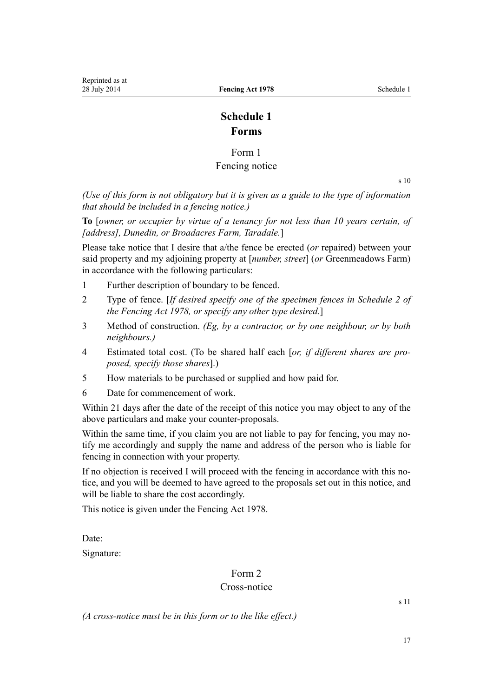## **Schedule 1 Forms**

## Form 1

## Fencing notice

 $s<sub>10</sub>$ 

<span id="page-16-0"></span>*(Use of this form is not obligatory but it is given as a guide to the type of information that should be included in a fencing notice.)*

**To** [*owner, or occupier by virtue of a tenancy for not less than 10 years certain, of [address], Dunedin, or Broadacres Farm, Taradale.*]

Please take notice that I desire that a/the fence be erected (*or* repaired) between your said property and my adjoining property at [*number, street*] (*or* Greenmeadows Farm) in accordance with the following particulars:

- 1 Further description of boundary to be fenced.
- 2 Type of fence. [*If desired specify one of the specimen fences in [Schedule 2](#page-18-0) of the Fencing Act 1978, or specify any other type desired.*]
- 3 Method of construction. *(Eg, by a contractor, or by one neighbour, or by both neighbours.)*
- 4 Estimated total cost. (To be shared half each [*or, if different shares are proposed, specify those shares*].)
- 5 How materials to be purchased or supplied and how paid for.
- 6 Date for commencement of work.

Within 21 days after the date of the receipt of this notice you may object to any of the above particulars and make your counter-proposals.

Within the same time, if you claim you are not liable to pay for fencing, you may notify me accordingly and supply the name and address of the person who is liable for fencing in connection with your property.

If no objection is received I will proceed with the fencing in accordance with this notice, and you will be deemed to have agreed to the proposals set out in this notice, and will be liable to share the cost accordingly.

This notice is given under the Fencing Act 1978.

Date:

Signature:

## Form 2

## Cross-notice

[s 11](#page-7-0)

*(A cross-notice must be in this form or to the like effect.)*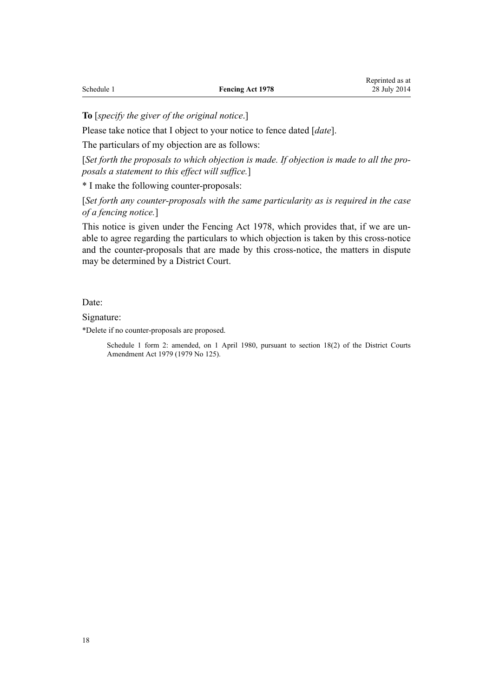**To** [*specify the giver of the original notice*.]

Please take notice that I object to your notice to fence dated [*date*].

The particulars of my objection are as follows:

[Set forth the proposals to which objection is made. If objection is made to all the pro*posals a statement to this effect will suffice.*]

\* I make the following counter-proposals:

[*Set forth any counter-proposals with the same particularity as is required in the case of a fencing notice.*]

This notice is given under the Fencing Act 1978, which provides that, if we are unable to agree regarding the particulars to which objection is taken by this cross-notice and the counter-proposals that are made by this cross-notice, the matters in dispute may be determined by a District Court.

Date:

Signature:

\*Delete if no counter-proposals are proposed.

Schedule 1 form 2: amended, on 1 April 1980, pursuant to [section 18\(2\)](http://prd-lgnz-nlb.prd.pco.net.nz/pdflink.aspx?id=DLM35085) of the District Courts Amendment Act 1979 (1979 No 125).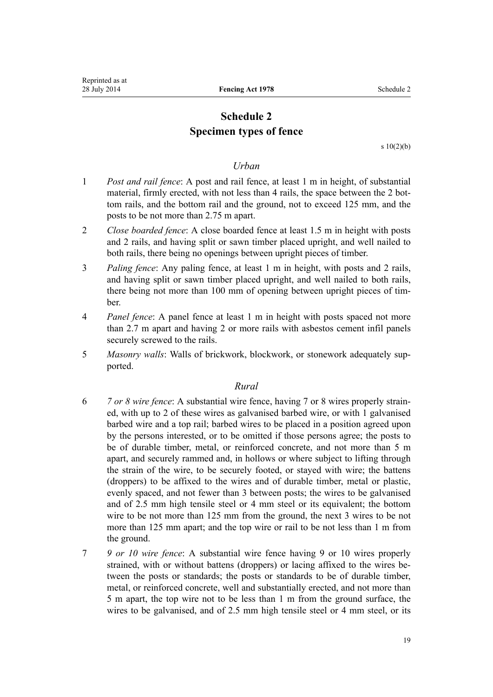## **Schedule 2 Specimen types of fence**

s  $10(2)(b)$ 

#### *Urban*

- <span id="page-18-0"></span>1 *Post and rail fence*: A post and rail fence, at least 1 m in height, of substantial material, firmly erected, with not less than 4 rails, the space between the 2 bottom rails, and the bottom rail and the ground, not to exceed 125 mm, and the posts to be not more than 2.75 m apart.
- 2 *Close boarded fence*: A close boarded fence at least 1.5 m in height with posts and 2 rails, and having split or sawn timber placed upright, and well nailed to both rails, there being no openings between upright pieces of timber.
- 3 *Paling fence*: Any paling fence, at least 1 m in height, with posts and 2 rails, and having split or sawn timber placed upright, and well nailed to both rails, there being not more than 100 mm of opening between upright pieces of timber.
- 4 *Panel fence*: A panel fence at least 1 m in height with posts spaced not more than 2.7 m apart and having 2 or more rails with asbestos cement infil panels securely screwed to the rails.
- 5 *Masonry walls*: Walls of brickwork, blockwork, or stonework adequately supported.

## *Rural*

- 6 *7 or 8 wire fence*: A substantial wire fence, having 7 or 8 wires properly strained, with up to 2 of these wires as galvanised barbed wire, or with 1 galvanised barbed wire and a top rail; barbed wires to be placed in a position agreed upon by the persons interested, or to be omitted if those persons agree; the posts to be of durable timber, metal, or reinforced concrete, and not more than 5 m apart, and securely rammed and, in hollows or where subject to lifting through the strain of the wire, to be securely footed, or stayed with wire; the battens (droppers) to be affixed to the wires and of durable timber, metal or plastic, evenly spaced, and not fewer than 3 between posts; the wires to be galvanised and of 2.5 mm high tensile steel or 4 mm steel or its equivalent; the bottom wire to be not more than 125 mm from the ground, the next 3 wires to be not more than 125 mm apart; and the top wire or rail to be not less than 1 m from the ground.
- 7 *9 or 10 wire fence*: A substantial wire fence having 9 or 10 wires properly strained, with or without battens (droppers) or lacing affixed to the wires between the posts or standards; the posts or standards to be of durable timber, metal, or reinforced concrete, well and substantially erected, and not more than 5 m apart, the top wire not to be less than 1 m from the ground surface, the wires to be galvanised, and of 2.5 mm high tensile steel or 4 mm steel, or its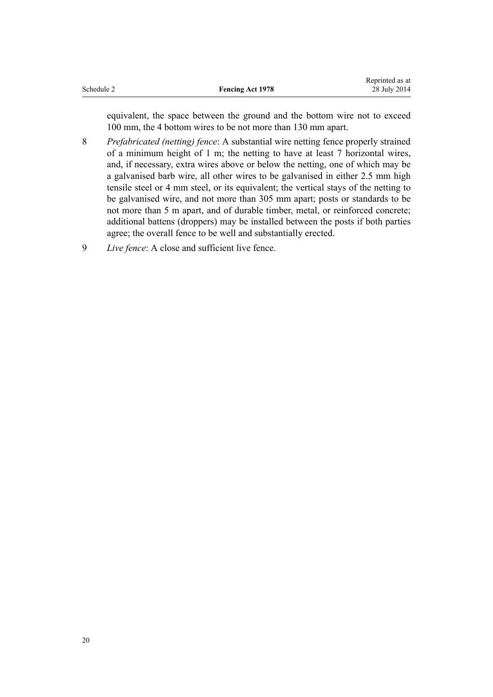| Schedule 2 |  |
|------------|--|
|            |  |

equivalent, the space between the ground and the bottom wire not to exceed 100 mm, the 4 bottom wires to be not more than 130 mm apart.

- 8 *Prefabricated (netting) fence*: A substantial wire netting fence properly strained of a minimum height of 1 m; the netting to have at least 7 horizontal wires, and, if necessary, extra wires above or below the netting, one of which may be a galvanised barb wire, all other wires to be galvanised in either 2.5 mm high tensile steel or 4 mm steel, or its equivalent; the vertical stays of the netting to be galvanised wire, and not more than 305 mm apart; posts or standards to be not more than 5 m apart, and of durable timber, metal, or reinforced concrete; additional battens (droppers) may be installed between the posts if both parties agree; the overall fence to be well and substantially erected.
- 9 *Live fence*: A close and sufficient live fence.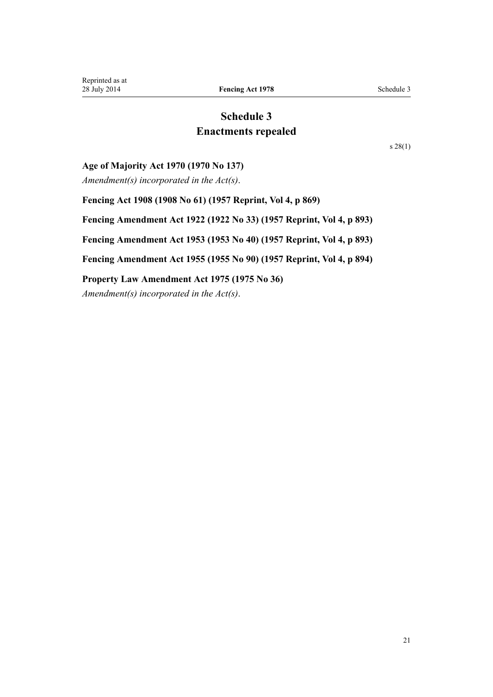## **Schedule 3 Enactments repealed**

[s 28\(1\)](#page-15-0)

#### <span id="page-20-0"></span>**Age of Majority Act 1970 (1970 No 137)**

*Amendment(s) incorporated in the [Act\(s\)](http://prd-lgnz-nlb.prd.pco.net.nz/pdflink.aspx?id=DLM396851)*.

**Fencing Act 1908 (1908 No 61) (1957 Reprint, Vol 4, p 869) Fencing Amendment Act 1922 (1922 No 33) (1957 Reprint, Vol 4, p 893) Fencing Amendment Act 1953 (1953 No 40) (1957 Reprint, Vol 4, p 893) Fencing Amendment Act 1955 (1955 No 90) (1957 Reprint, Vol 4, p 894) Property Law Amendment Act 1975 (1975 No 36)**

*Amendment(s) incorporated in the Act(s)*.